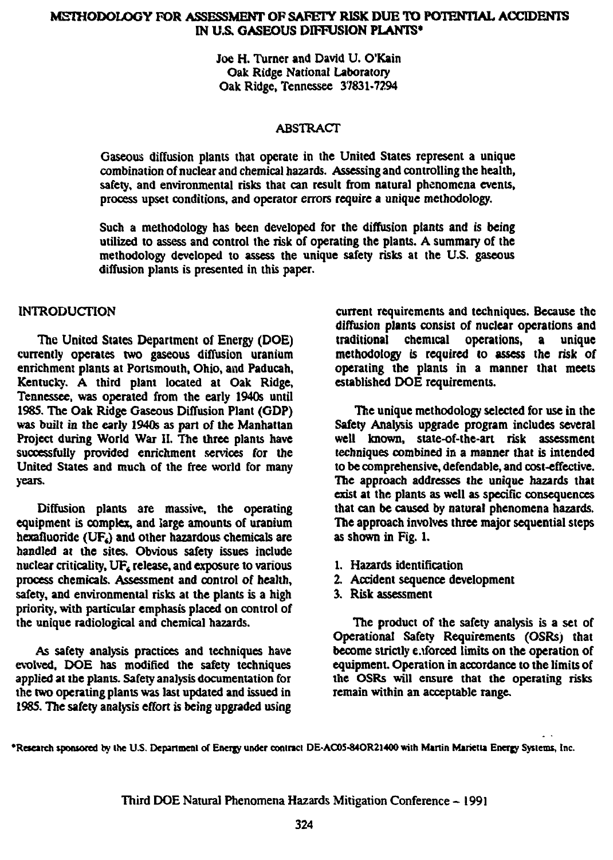## METHODOLOGY FOR ASSESSMENT **OP** SAFETY **RISK** DUE **TO POTENTIAL ACCIDENTS IN** *VS.* **GASEOUS DIFFUSION PLANTS\***

Joe H. Turner and David U. O'Kain Oak Ridge National Laboratory Oak Ridge, Tennessee 37831-7294

## ABSTRACT

Gaseous diffusion plants that operate in the United States represent a unique combination of nuclear and chemical hazards. Assessing and controlling the health, safety, and environmental risks that can result from natural phenomena events, process upset conditions, and operator errors require a unique methodology.

Such a methodology has been developed for the diffusion plants and is being utilized to assess and control the risk of operating the plants. A summary of the methodology developed to assess the unique safety risks at the U.S. gaseous diffusion plants is presented in this paper.

## INTRODUCTION

The United States Department of Energy (DOE) currently operates two gaseous diffusion uranium enrichment plants at Portsmouth, Ohio, and Paducah, Kentucky. A third plant located at Oak Ridge, Tennessee, was operated from the early 1940s until 1985. The Oak Ridge Gaseous Diffusion Plant (GDP) was built in the early 1940s as part of the Manhattan Project during World War II. The three plants have successfully provided enrichment services for the United States and much of the free world for many years.

Diffusion plants are massive, the operating equipment is complex, and large amounts of uranium hexafluoride ( $UF<sub>6</sub>$ ) and other hazardous chemicals are handled at the sites. Obvious safety issues include nuclear criticality, UF<sub>4</sub> release, and exposure to various process chemicals. Assessment and control of health, safety, and environmental risks at the plants is a high priority, with particular emphasis placed on control of the unique radiological and chemical hazards.

As safety analysis practices and techniques have evolved, DOE has modified the safety techniques applied at the plants. Safety analysis documentation for the two operating plants was last updated and issued in 1985. The safety analysis effort is being upgraded using

current requirements and techniques. Because the diffusion plants consist of nuclear operations and<br>traditional chemical operations, a unique traditional chemical operations, a unique methodology is required to assess the risk of operating the plants in a manner that meets established DOE requirements.

The unique methodology selected for use in the Safety Analysis upgrade program includes several well known, state-of-the-art risk assessment techniques combined in a manner that is intended to be comprehensive, defendable, and cost-effective. The approach addresses the unique hazards that exist at the plants as well as specific consequences that can be caused by natural phenomena hazards. The approach involves three major sequential steps as shown in Fig. 1.

- 1. Hazards identification
- 2. Accident sequence development
- 3. Risk assessment

The product of the safety analysis is a set of Operational Safety Requirements (OSRs) that become strictly enforced limits on the operation of equipment. Operation in accordance to the limits of the OSRs will ensure that the operating risks remain within an acceptable range.

**•Research sponsored by lite U.S. Department of Energy under coninci DE-AC05-84OR21400 with Manin Marietta Energy Systems, Inc.**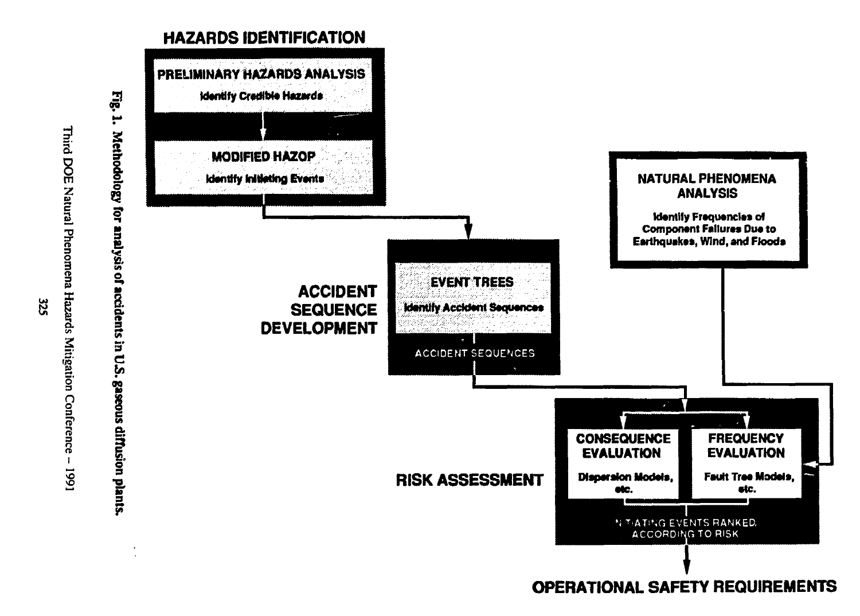

 $525$ 

Third DOE Natural Phenomena Hazards Mitigation Conference -

**1661** 

**OPERATIONAL SAFETY REQUIREMENTS**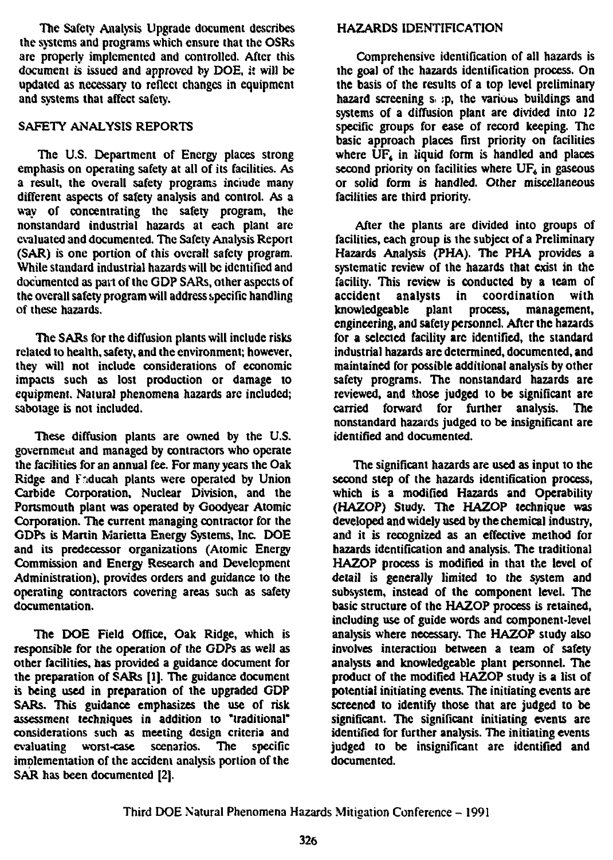**The Safety Analysis Upgrade document describes the systems and programs which ensure that the OSRs are properly implemented and controlled. After this document is issued and approved by DOE, it will be updated as necessary to reflect changes in equipment and systems that affect safer,<sup>1</sup> .**

## **SAFETY ANALYSIS REPORTS**

**The U.S. Department of Energy places strong emphasis on operating safety at all of its facilities. As a result, the overall safety programs inciude many different aspects of safety analysis and control. As a way of concentrating the safety program, the nonstandard industrial hazards at each plant are evaluated and documented. The Safety Analysis Report (SAR) is one portion of this overall safety program. While standard industrial hazards will be identified and documented as part of the GDP SARs, other aspects of the overall safety program will address specific handling of these hazards.**

**The SARs for the diffusion plants will include risks related to health, safety, and the environment; however, they will not include considerations of economic impacts such as lost production or damage to equipment. Natural phenomena hazards are included; sabotage is not included.**

**These diffusion plants are owned by the U.S.** government and managed by contractors who operate **the facilities for an annual fee. For many years the Oak Ridge and Fnducah plants were operated by Union Carbide Corporation, Nuclear Division, and the Portsmouth plant was operated by Goodyear Atomic Corporation. The current managing contractor for the GDPs is Martin Marietta Energy Systems, Inc. DOE and its predecessor organizations (Atomic Energy Commission and Energy Research and Development Administration), provides orders and guidance to the operating contractors covering areas such as safety documentation.**

**The DOE Field Office, Oak Ridge, which is responsible for the operation of the GDPs as well as other facilities, has provided a guidance document for the preparation of SARs [1]. The guidance document is being used in preparation of the upgraded GDP SARs. This guidance emphasizes the use of risk assessment techniques in addition to "traditional" considerations such as meeting design criteria and evaluating worst-case scenarios. The specific implementation of the accident analysis portion of the SAR has been documented [2].**

## **HAZARDS IDENTIFICATION**

**Comprehensive identification of all hazards is the goal of the hazards identification process. On the basis of the results of a top level preliminary hazard screening s. :p, the various buildings and systems of a diffusion plant are divided into 12 specific groups for ease of record keeping. The basic approach places first priority on facilities** where UF<sub>4</sub> in liquid form is handled and places second priority on facilities where UF<sub>s</sub> in gaseous **or solid form is handled. Other miscellaneous facilities are third priority.**

**After the plants are divided into groups of facilities, each group is the subject of a Preliminary Hazards Analysis (PHA). The PHA provides a systematic review of the hazards that exist in the facility. This review is conducted by a team of accident analysts in coordination with knowledgeable plant process, management, engineering, and safety personnel. After the hazards for a selected facility arc identified, the standard industrial hazards are determined, documented, and maintained for possible additional analysis by other safety programs. The nonstandard hazards are reviewed, and those judged to be significant are carried forward for further analysis. The nonstandard hazards judged to be insignificant are identified and documented.**

**The significant hazards are used as input to the second step of the hazards identification process, which is a modified Hazards and Operability (HAZOP) Study. The HAZOP technique was developed and widely used by the chemical industry, and it is recognized as an effective method for hazards identification and analysis. The traditional HAZOP process is modified in that the level of detail is generally limited to the system and subsystem, instead of the component level. The basic structure of the HAZOP process is retained, including use of guide words and component-level analysis where necessary. The HAZOP study also involves interaction between a team of safety analysts and knowledgeable plant personnel. The product of the modified HAZOP study is a list of potential initiating events. The initiating events are screened to identify those that are judged to be significant. The significant initiating events are identified for further analysis. The initiating events judged to be insignificant are identified and documented.**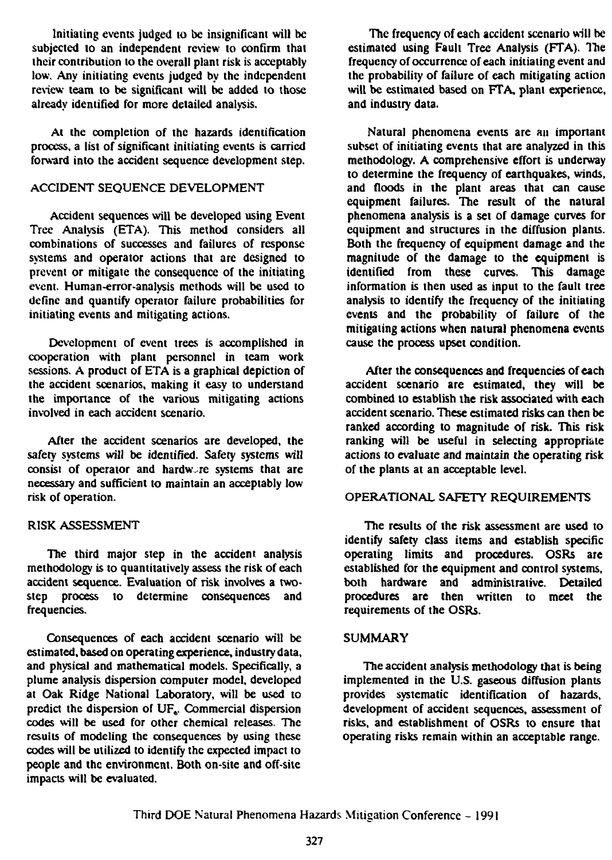**Initialing events judged to be insignificant will be subjected to an independent review to confirm that their contribution to the overall plant risk is acceptably low. Any initiating events judged by the independent review team to be significant will be added to those already identified for more detailed analysis.**

**At the completion of the hazards identification process, a list of significant initiating events is carried forward into the accident sequence development step.**

## **ACCIDENT SEQUENCE DEVELOPMENT**

**Accident sequences will be developed using Event Tree Analysis (ETA). This method considers all combinations of successes and failures of response systems and operator actions that are designed to prevent or mitigate the consequence of the initiating event. Human-error-analysis methods will be used to define and quantify operator failure probabilities for initiating events and mitigating actions.**

**Development of event trees is accomplished in cooperation with plant personnel in team work sessions. A product of ETA is a graphical depiction of the accident scenarios, making it easy to understand the importance of the various mitigating actions involved in each accident scenario.**

**After the accident scenarios are developed, the safety systems will be identified. Safety systems will** consist of operator and hardware systems that are **necessary and sufficient to maintain an acceptably low risk of operation.**

#### **RISK ASSESSMENT**

**The third major step in the accident analysis methodology is to quantitatively assess the risk of each accident sequence. Evaluation of risk involves a twostep process to determine consequences and frequencies.**

**Consequences of each accident scenario will be estimated, based on operating experience, industry data, and physical and mathematical models. Specifically, a plume analysis dispersion computer model, developed at Oak Ridge National Laboratory, will be used to predict the dispersion of UF,. Commercial dispersion codes will be used for other chemical releases. The results of modeling the consequences by using these codes will be utilized to identify the expected impact to people and the environment. Both on-site and off-site impacts will be evaluated.**

**The frequency of each accident scenario will be** estimated using Fault Tree Analysis (FTA). The **frequency of occurrence of each initiating event and the probability of failure of each mitigating action will be estimated based on FTA, plant experience, and industry data.**

**Natural phenomena events are an important subset of initiating events that are analyzed in this methodology. A comprehensive effort is underway to determine the frequency of earthquakes, winds, and floods in the plant areas that can cause equipment failures. The result of the natural phenomena analysis is a set of damage curves for equipment and structures in the diffusion plants. Both the frequency of equipment damage and the magnitude of the damage to the equipment is identified from these curves. This damage information is then used as input to the fault tree analysis to identify the frequency of the initialing events and the probability of failure of the mitigating actions when natural phenomena events cause the process upset condition.**

**After the consequences and frequencies of each accident scenario are estimated, they will be combined to establish the risk associated with each accident scenario. These estimated risks can then be ranked according to magnitude of risk. This risk ranking will be useful in selecting appropriate actions to evaluate and maintain the operating risk of the plants at an acceptable level.**

#### **OPERATIONAL SAFETY REQUIREMENTS**

**The results of the risk assessment are used to identify safety class items and establish specific operating limits and procedures. OSRs are established for the equipment and control systems, both hardware and administrative. Detailed procedures are then written to meet the requirements of the OSRs.**

#### **SUMMARY**

**The accident analysis methodology that is being implemented in the U.S. gaseous diffusion plants provides systematic identification of hazards, development of accident sequences, assessment of risks, and establishment of OSRs to ensure that operating risks remain within an acceptable range.**